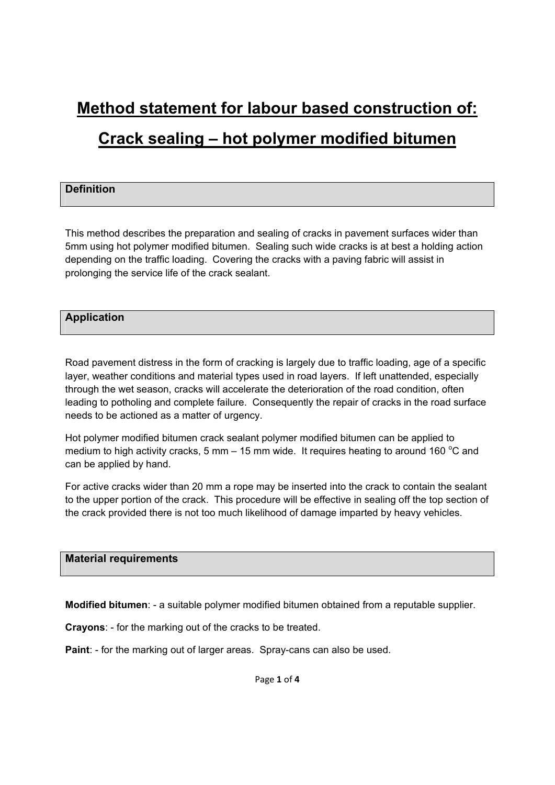# **Method statement for labour based construction of:**

## **Crack sealing – hot polymer modified bitumen**

## **Definition**

This method describes the preparation and sealing of cracks in pavement surfaces wider than 5mm using hot polymer modified bitumen. Sealing such wide cracks is at best a holding action depending on the traffic loading. Covering the cracks with a paving fabric will assist in prolonging the service life of the crack sealant.

## **Application**

Road pavement distress in the form of cracking is largely due to traffic loading, age of a specific layer, weather conditions and material types used in road layers. If left unattended, especially through the wet season, cracks will accelerate the deterioration of the road condition, often leading to potholing and complete failure. Consequently the repair of cracks in the road surface needs to be actioned as a matter of urgency.

Hot polymer modified bitumen crack sealant polymer modified bitumen can be applied to medium to high activity cracks, 5 mm  $-$  15 mm wide. It requires heating to around 160 °C and can be applied by hand.

For active cracks wider than 20 mm a rope may be inserted into the crack to contain the sealant to the upper portion of the crack. This procedure will be effective in sealing off the top section of the crack provided there is not too much likelihood of damage imparted by heavy vehicles.

## **Material requirements**

**Modified bitumen**: - a suitable polymer modified bitumen obtained from a reputable supplier.

**Crayons**: - for the marking out of the cracks to be treated.

**Paint**: - for the marking out of larger areas. Spray-cans can also be used.

Page **1** of **4**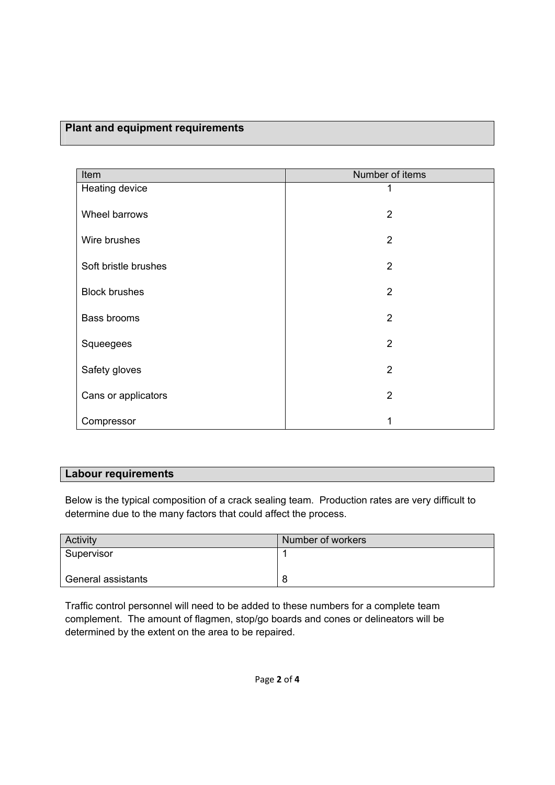## **Plant and equipment requirements**

| Item                 | Number of items |
|----------------------|-----------------|
| Heating device       |                 |
| Wheel barrows        | $\overline{2}$  |
| Wire brushes         | $\overline{2}$  |
| Soft bristle brushes | $\overline{2}$  |
| <b>Block brushes</b> | $\overline{2}$  |
| <b>Bass brooms</b>   | $\overline{2}$  |
| Squeegees            | $\overline{2}$  |
| Safety gloves        | $\overline{2}$  |
| Cans or applicators  | $\overline{2}$  |
| Compressor           |                 |

### **Labour requirements**

Below is the typical composition of a crack sealing team. Production rates are very difficult to determine due to the many factors that could affect the process.

| Activity           | Number of workers |
|--------------------|-------------------|
| Supervisor         |                   |
|                    |                   |
| General assistants | o                 |

Traffic control personnel will need to be added to these numbers for a complete team complement. The amount of flagmen, stop/go boards and cones or delineators will be determined by the extent on the area to be repaired.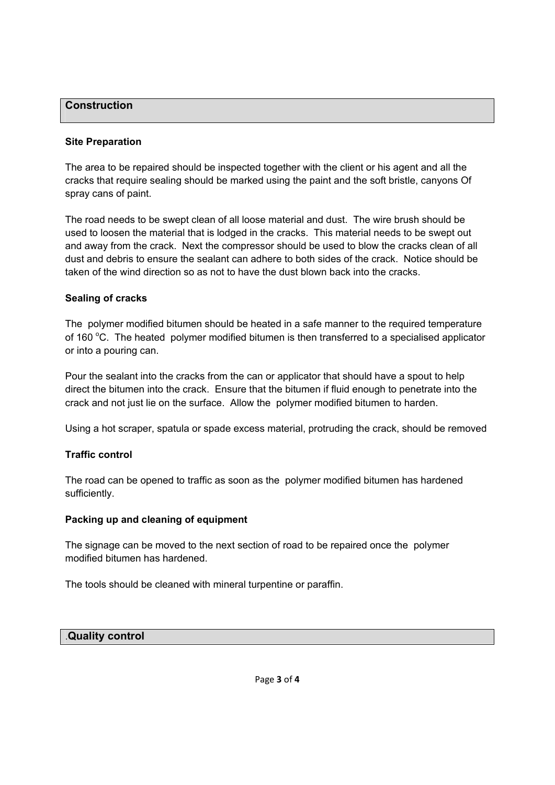## **Construction**

#### **Site Preparation**

The area to be repaired should be inspected together with the client or his agent and all the cracks that require sealing should be marked using the paint and the soft bristle, canyons Of spray cans of paint.

The road needs to be swept clean of all loose material and dust. The wire brush should be used to loosen the material that is lodged in the cracks. This material needs to be swept out and away from the crack. Next the compressor should be used to blow the cracks clean of all dust and debris to ensure the sealant can adhere to both sides of the crack. Notice should be taken of the wind direction so as not to have the dust blown back into the cracks.

#### **Sealing of cracks**

The polymer modified bitumen should be heated in a safe manner to the required temperature of 160 °C. The heated polymer modified bitumen is then transferred to a specialised applicator or into a pouring can.

Pour the sealant into the cracks from the can or applicator that should have a spout to help direct the bitumen into the crack. Ensure that the bitumen if fluid enough to penetrate into the crack and not just lie on the surface. Allow the polymer modified bitumen to harden.

Using a hot scraper, spatula or spade excess material, protruding the crack, should be removed

### **Traffic control**

The road can be opened to traffic as soon as the polymer modified bitumen has hardened sufficiently.

### **Packing up and cleaning of equipment**

The signage can be moved to the next section of road to be repaired once the polymer modified bitumen has hardened.

The tools should be cleaned with mineral turpentine or paraffin.

### .**Quality control**